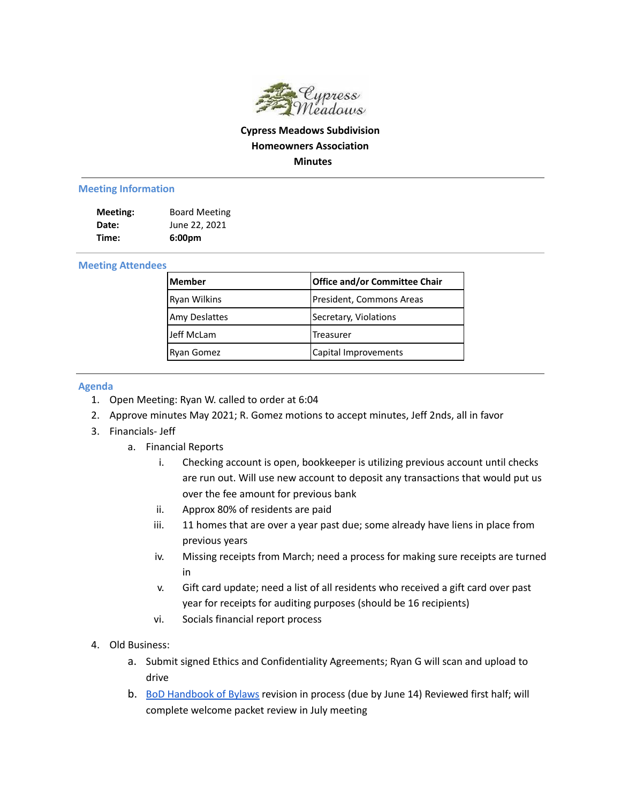

## **Cypress Meadows Subdivision Homeowners Association Minutes**

## **Meeting Information**

| Meeting: | <b>Board Meeting</b> |
|----------|----------------------|
| Date:    | June 22, 2021        |
| Time:    | 6:00 <sub>pm</sub>   |

## **Meeting Attendees**

| <b>Member</b> | Office and/or Committee Chair |
|---------------|-------------------------------|
| Ryan Wilkins  | President, Commons Areas      |
| Amy Deslattes | Secretary, Violations         |
| Jeff McLam    | <b>Treasurer</b>              |
| Ryan Gomez    | Capital Improvements          |

## **Agenda**

- 1. Open Meeting: Ryan W. called to order at 6:04
- 2. Approve minutes May 2021; R. Gomez motions to accept minutes, Jeff 2nds, all in favor
- 3. Financials- Jeff
	- a. Financial Reports
		- i. Checking account is open, bookkeeper is utilizing previous account until checks are run out. Will use new account to deposit any transactions that would put us over the fee amount for previous bank
		- ii. Approx 80% of residents are paid
		- iii. 11 homes that are over a year past due; some already have liens in place from previous years
		- iv. Missing receipts from March; need a process for making sure receipts are turned in
		- v. Gift card update; need a list of all residents who received a gift card over past year for receipts for auditing purposes (should be 16 recipients)
		- vi. Socials financial report process
- 4. Old Business:
	- a. Submit signed Ethics and Confidentiality Agreements; Ryan G will scan and upload to drive
	- b. BoD [Handbook](https://docs.google.com/document/d/1hK-DXIxsH3JHYlxSn0Xzm43GFlaeAxkyI9_gf7UNIPc/edit) of Bylaws revision in process (due by June 14) Reviewed first half; will complete welcome packet review in July meeting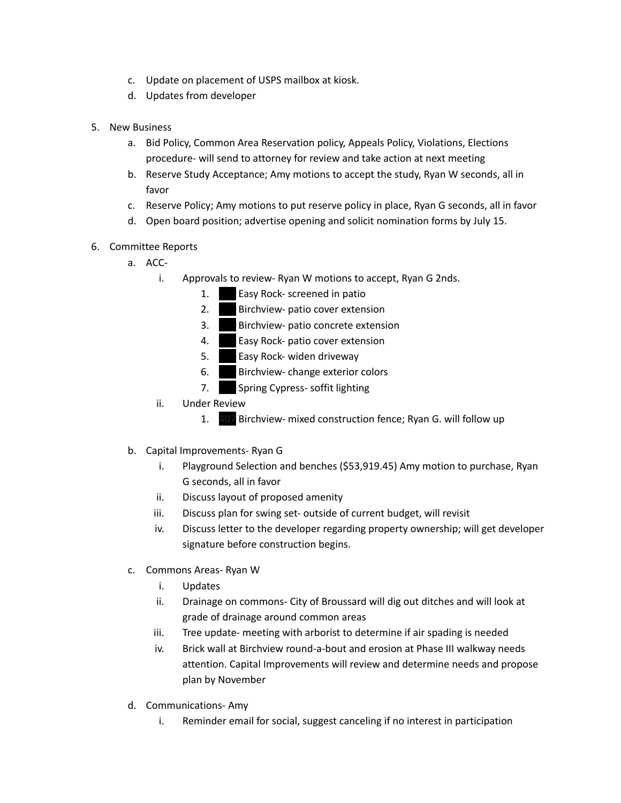- c. Update on placement of USPS mailbox at kiosk.
- d. Updates from developer
- 5. New Business
	- a. Bid Policy, Common Area Reservation policy, Appeals Policy, Violations, Elections procedure- will send to attorney for review and take action at next meeting
	- b. Reserve Study Acceptance; Amy motions to accept the study, Ryan W seconds, all in favor
	- c. Reserve Policy; Amy motions to put reserve policy in place, Ryan G seconds, all in favor
	- d. Open board position; advertise opening and solicit nomination forms by July 15.
- 6. Committee Reports
	- a. ACC
		- i. Approvals to review- Ryan W motions to accept, Ryan G 2nds.
			- 1. **Easy Rock- screened in patio**
			- 2. Birchview- patio cover extension
			- 3. Birchview- patio concrete extension
			- 4. **Easy Rock- patio cover extension**
			- 5. **Easy Rock- widen driveway**
			- 6. Birchview- change exterior colors
			- 7. Spring Cypress- soffit lighting
		- ii. Under Review
			- 1. 407 Birchview- mixed construction fence; Ryan G. will follow up
	- b. Capital Improvements- Ryan G
		- i. Playground Selection and benches (\$53,919.45) Amy motion to purchase, Ryan G seconds, all in favor
		- ii. Discuss layout of proposed amenity
		- iii. Discuss plan for swing set- outside of current budget, will revisit
		- iv. Discuss letter to the developer regarding property ownership; will get developer signature before construction begins.
	- c. Commons Areas- Ryan W
		- i. Updates
		- ii. Drainage on commons- City of Broussard will dig out ditches and will look at grade of drainage around common areas
		- iii. Tree update- meeting with arborist to determine if air spading is needed
		- iv. Brick wall at Birchview round-a-bout and erosion at Phase III walkway needs attention. Capital Improvements will review and determine needs and propose plan by November
	- d. Communications- Amy
		- i. Reminder email for social, suggest canceling if no interest in participation